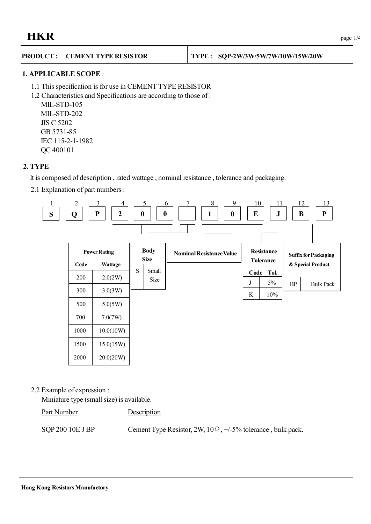# **HKR**  $_{\text{page 1/4}}$

#### **PRODUCT : CEMENT TYPE RESISTOR TYPE : SQP-2W/3W/5W/7W/10W/15W/20W**

# **1. APPLICABLE SCOPE** :

- 1.1 This specification is for use in CEMENT TYPE RESISTOR
- 1.2 Characteristics and Specifications are according to those of :

MIL-STD-105 MIL-STD-202 JIS C 5202 GB 5731-85 IEC 115-2-1-1982 QC 400101

# **2. TYPE**

It is composed of description , rated wattage , nominal resistance , tolerance and packaging.

2.1 Explanation of part numbers :



# 2.2 Example of expression :

Miniature type (small size) is available.

Part Number Description

SQP 200 10E J BP Cement Type Resistor,  $2W$ ,  $10\Omega$ ,  $+/-5\%$  tolerance, bulk pack.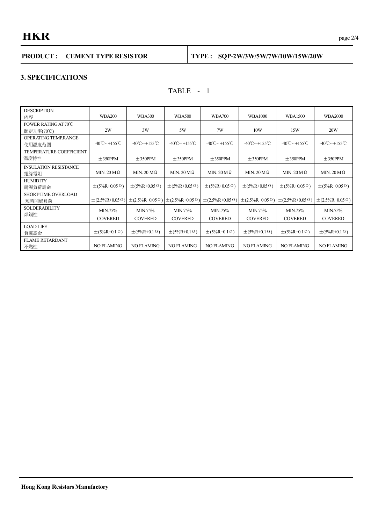# **HKR** page 2/4

# **PRODUCT : CEMENT TYPE RESISTOR TYPE : SQP-2W/3W/5W/7W/10W/15W/20W**

### **3. SPECIFICATIONS**

# TABLE - 1

| <b>DESCRIPTION</b><br>内容               | <b>WBA200</b>                            | <b>WBA300</b>                             | <b>WBA500</b>                            | <b>WBA700</b>                            | <b>WBA1000</b>                           | <b>WBA1500</b>                           | <b>WBA2000</b>                      |
|----------------------------------------|------------------------------------------|-------------------------------------------|------------------------------------------|------------------------------------------|------------------------------------------|------------------------------------------|-------------------------------------|
| POWER RATING AT 70°C<br>額定功率(70℃)      | 2W                                       | 3W                                        | 5W                                       | 7W                                       | 10W                                      | 15W                                      | 20W                                 |
| OPERATING TEMP.RANGE<br>使用溫度范圍         | $-40^{\circ}$ C $\sim$ +155 $^{\circ}$ C | $-40^{\circ}$ C ~ +155 $^{\circ}$ C       | $-40^{\circ}$ C $\sim$ +155 $^{\circ}$ C | $-40^{\circ}$ C $\sim$ +155 $^{\circ}$ C | $-40^{\circ}$ C $\sim$ +155 $^{\circ}$ C | $-40^{\circ}$ C $\sim$ +155 $^{\circ}$ C | $-40^{\circ}$ C ~ +155 $^{\circ}$ C |
| <b>TEMPERATURE COEFFICIENT</b><br>溫度特性 | $± 350$ PPM                              | $\pm$ 350PPM                              | $± 350$ PPM                              | $\pm$ 350PPM                             | $\pm$ 350PPM                             | $\pm$ 350PPM                             | $±350$ PPM                          |
| <b>INSULATION RESISTANCE</b><br>絕緣電阻   | MIN. $20 M$                              | MIN. $20 M$                               | MIN. $20 M$                              | MIN. $20 M$ $\Omega$                     | MIN. $20 M$ $\Omega$                     | MIN. $20 M$ $\Omega$                     | MIN. $20 M$ $\Omega$                |
| <b>HUMIDITY</b><br>耐濕負荷壽命              | $\pm$ (5%R+0.05 Ω)                       | $\pm$ (5%R+0.05 Ω)                        | $\pm$ (5%R+0.05 $\Omega$ )               | $\pm$ (5%R+0.05 Ω)                       | $\pm$ (5%R+0.05 $\Omega$ )               | $\pm$ (5%R+0.05 Ω)                       | $\pm$ (5%R+0.05 Ω)                  |
| SHORT-TIME OVERLOAD<br>短時間過負荷          |                                          | $\pm$ (2.5%R+0.05 Ω) $\pm$ (2.5%R+0.05 Ω) | $\pm (2.5\%R + 0.05 \Omega)$             | $\pm$ (2.5%R+0.05 Ω)                     | $\pm$ (2.5%R+0.05 Ω)                     | $\pm$ (2.5%R+0.05 Ω)                     | $\pm$ (2.5%R+0.05 Ω)                |
| <b>SOLDERABILITY</b><br>焊錫性            | MIN.75%<br><b>COVERED</b>                | MIN.75%<br><b>COVERED</b>                 | MIN.75%<br><b>COVERED</b>                | MIN.75%<br><b>COVERED</b>                | MIN.75%<br><b>COVERED</b>                | MIN.75%<br><b>COVERED</b>                | MIN.75%<br><b>COVERED</b>           |
| <b>LOAD LIFE</b><br>負載壽命               | $\pm$ (5%R+0.1 $\Omega$ )                | $\pm$ (5%R+0.1 $\Omega$ )                 | $\pm$ (5%R+0.1 $\Omega$ )                | $\pm$ (5%R+0.1 Ω)                        | $\pm$ (5%R+0.1 $\Omega$ )                | $\pm$ (5%R+0.1 $\Omega$ )                | $\pm$ (5%R+0.1 Ω)                   |
| <b>FLAME RETARDANT</b><br>不燃性          | <b>NO FLAMING</b>                        | <b>NO FLAMING</b>                         | <b>NO FLAMING</b>                        | <b>NO FLAMING</b>                        | <b>NO FLAMING</b>                        | <b>NO FLAMING</b>                        | <b>NO FLAMING</b>                   |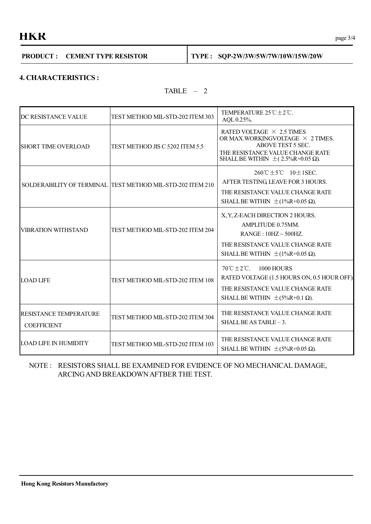**• HKR**  $_{\text{page 3/4}}$ 

|  | <b>PRODUCT: CEMENT TYPE RESISTOR</b> |  | $\vert$ TYPE: SQP-2W/3W/5W/7W/10W/15W/20W |
|--|--------------------------------------|--|-------------------------------------------|
|--|--------------------------------------|--|-------------------------------------------|

# **4. CHARACTERISTICS :**

TABLE – 2

Τ

| DC RESISTANCE VALUE                                 | TEST METHOD MIL-STD-202 ITEM 303                           | TEMPERATURE $25^{\circ}\text{C} \pm 2^{\circ}\text{C}$ .<br>AQL 0.25%.                                                                                                                |  |  |
|-----------------------------------------------------|------------------------------------------------------------|---------------------------------------------------------------------------------------------------------------------------------------------------------------------------------------|--|--|
| <b>SHORT TIME OVERLOAD</b>                          | TEST METHOD JIS C 5202 ITEM 5.5                            | RATED VOLTAGE $\times$ 2.5 TIMES<br>OR MAX.WORKINGVOLTAGE $\times$ 2 TIMES.<br>ABOVE TEST 5 SEC.<br>THE RESISTANCE VALUE CHANGE RATE<br>SHALL BE WITHIN $\pm$ (2.5%R+0.05 $\Omega$ ). |  |  |
|                                                     | SOLDERABILITY OF TERMINAL TEST METHOD MIL-STD-202 ITEM 210 | $260^{\circ}C + 5^{\circ}C$ 10 + 1 SEC.<br>AFTER TESTING LEAVE FOR 3 HOURS.<br>THE RESISTANCE VALUE CHANGE RATE<br>SHALL BE WITHIN $\pm$ (1%R+0.05 $\Omega$ ).                        |  |  |
| <b>VIBRATION WITHSTAND</b>                          | TEST METHOD MIL-STD-202 ITEM 204                           | X, Y, Z-EACH DIRECTION 2 HOURS.<br>AMPLITUDE 0.75MM.<br>$RANGE: 10HZ \sim 500HZ$<br>THE RESISTANCE VALUE CHANGE RATE<br>SHALL BE WITHIN $\pm$ (1%R+0.05 $\Omega$ ).                   |  |  |
| <b>LOAD LIFE</b>                                    | TEST METHOD MIL-STD-202 ITEM 108                           | $70^{\circ}$ C $\pm 2^{\circ}$ C. 1000 HOURS<br>RATED VOLTAGE (1.5 HOURS ON, 0.5 HOUR OFF).<br>THE RESISTANCE VALUE CHANGE RATE<br>SHALL BE WITHIN $\pm$ (5%R+0.1 $\Omega$ ).         |  |  |
| <b>RESISTANCE TEMPERATURE</b><br><b>COEFFICIENT</b> | TEST METHOD MIL-STD-202 ITEM 304                           | THE RESISTANCE VALUE CHANGE RATE<br>SHALL BE AS TABLE - 3.                                                                                                                            |  |  |
| <b>LOAD LIFE IN HUMIDITY</b>                        | TEST METHOD MIL-STD-202 ITEM 103                           | THE RESISTANCE VALUE CHANGE RATE<br>SHALL BE WITHIN $\pm$ (5%R+0.05 $\Omega$ ).                                                                                                       |  |  |

# NOTE : RESISTORS SHALL BE EXAMINED FOR EVIDENCE OF NO MECHANICAL DAMAGE, ARCINGAND BREAKDOWNAFTBER THE TEST.